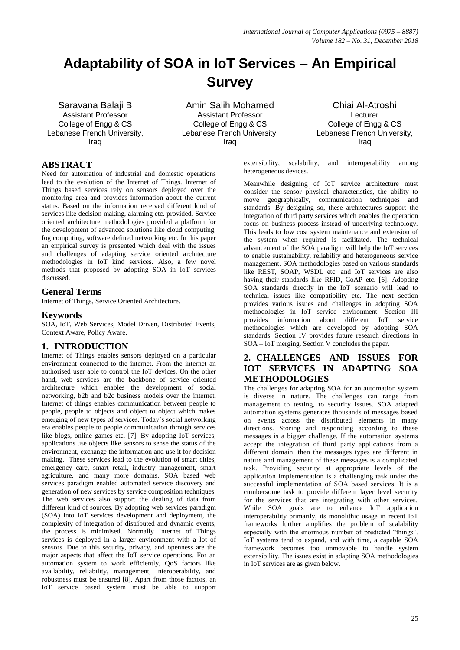# **Adaptability of SOA in IoT Services – An Empirical Survey**

Saravana Balaji B Assistant Professor College of Engg & CS Lebanese French University, Iraq

Amin Salih Mohamed Assistant Professor College of Engg & CS Lebanese French University, Iraq

Chiai Al-Atroshi Lecturer College of Engg & CS Lebanese French University, Iraq

#### **ABSTRACT**

Need for automation of industrial and domestic operations lead to the evolution of the Internet of Things. Internet of Things based services rely on sensors deployed over the monitoring area and provides information about the current status. Based on the information received different kind of services like decision making, alarming etc. provided. Service oriented architecture methodologies provided a platform for the development of advanced solutions like cloud computing, fog computing, software defined networking etc. In this paper an empirical survey is presented which deal with the issues and challenges of adapting service oriented architecture methodologies in IoT kind services. Also, a few novel methods that proposed by adopting SOA in IoT services discussed.

#### **General Terms**

Internet of Things, Service Oriented Architecture.

#### **Keywords**

SOA, IoT, Web Services, Model Driven, Distributed Events, Context Aware, Policy Aware.

#### **1. INTRODUCTION**

Internet of Things enables sensors deployed on a particular environment connected to the internet. From the internet an authorised user able to control the IoT devices. On the other hand, web services are the backbone of service oriented architecture which enables the development of social networking, b2b and b2c business models over the internet. Internet of things enables communication between people to people, people to objects and object to object which makes emerging of new types of services. Today's social networking era enables people to people communication through services like blogs, online games etc. [7]. By adopting IoT services, applications use objects like sensors to sense the status of the environment, exchange the information and use it for decision making. These services lead to the evolution of smart cities, emergency care, smart retail, industry management, smart agriculture, and many more domains. SOA based web services paradigm enabled automated service discovery and generation of new services by service composition techniques. The web services also support the dealing of data from different kind of sources. By adopting web services paradigm (SOA) into IoT services development and deployment, the complexity of integration of distributed and dynamic events, the process is minimised. Normally Internet of Things services is deployed in a larger environment with a lot of sensors. Due to this security, privacy, and openness are the major aspects that affect the IoT service operations. For an automation system to work efficiently, QoS factors like availability, reliability, management, interoperability, and robustness must be ensured [8]. Apart from those factors, an IoT service based system must be able to support

extensibility, scalability, and interoperability among heterogeneous devices.

Meanwhile designing of IoT service architecture must consider the sensor physical characteristics, the ability to move geographically, communication techniques and standards. By designing so, these architectures support the integration of third party services which enables the operation focus on business process instead of underlying technology. This leads to low cost system maintenance and extension of the system when required is facilitated. The technical advancement of the SOA paradigm will help the IoT services to enable sustainability, reliability and heterogeneous service management. SOA methodologies based on various standards like REST, SOAP, WSDL etc. and IoT services are also having their standards like RFID, CoAP etc. [6]. Adopting SOA standards directly in the IoT scenario will lead to technical issues like compatibility etc. The next section provides various issues and challenges in adopting SOA methodologies in IoT service environment. Section III provides information about different IoT service methodologies which are developed by adopting SOA standards. Section IV provides future research directions in SOA – IoT merging. Section V concludes the paper.

# **2. CHALLENGES AND ISSUES FOR IOT SERVICES IN ADAPTING SOA METHODOLOGIES**

The challenges for adapting SOA for an automation system is diverse in nature. The challenges can range from management to testing, to security issues. SOA adapted automation systems generates thousands of messages based on events across the distributed elements in many directions. Storing and responding according to these messages is a bigger challenge. If the automation systems accept the integration of third party applications from a different domain, then the messages types are different in nature and management of these messages is a complicated task. Providing security at appropriate levels of the application implementation is a challenging task under the successful implementation of SOA based services. It is a cumbersome task to provide different layer level security for the services that are integrating with other services. While SOA goals are to enhance IoT application interoperability primarily, its monolithic usage in recent IoT frameworks further amplifies the problem of scalability especially with the enormous number of predicted "things". IoT systems tend to expand, and with time, a capable SOA framework becomes too immovable to handle system extensibility. The issues exist in adapting SOA methodologies in IoT services are as given below.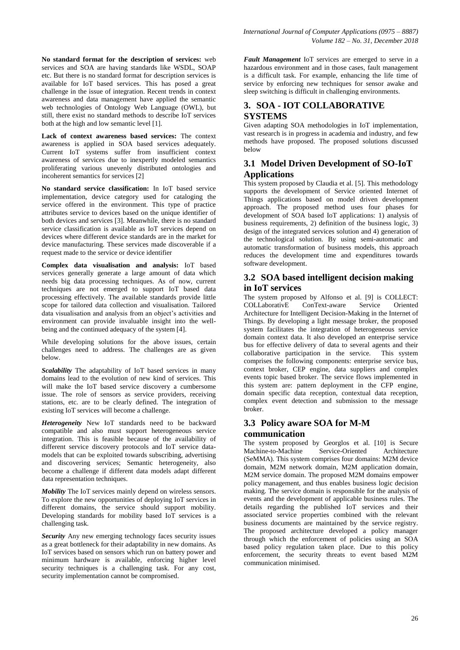**No standard format for the description of services:** web services and SOA are having standards like WSDL, SOAP etc. But there is no standard format for description services is available for IoT based services. This has posed a great challenge in the issue of integration. Recent trends in context awareness and data management have applied the semantic web technologies of Ontology Web Language (OWL), but still, there exist no standard methods to describe IoT services both at the high and low semantic level [1].

**Lack of context awareness based services:** The context awareness is applied in SOA based services adequately. Current IoT systems suffer from insufficient context awareness of services due to inexpertly modeled semantics proliferating various unevenly distributed ontologies and incoherent semantics for services [2]

**No standard service classification:** In IoT based service implementation, device category used for cataloging the service offered in the environment. This type of practice attributes service to devices based on the unique identifier of both devices and services [3]. Meanwhile, there is no standard service classification is available as IoT services depend on devices where different device standards are in the market for device manufacturing. These services made discoverable if a request made to the service or device identifier

**Complex data visualisation and analysis:** IoT based services generally generate a large amount of data which needs big data processing techniques. As of now, current techniques are not emerged to support IoT based data processing effectively. The available standards provide little scope for tailored data collection and visualisation. Tailored data visualisation and analysis from an object's activities and environment can provide invaluable insight into the wellbeing and the continued adequacy of the system [4].

While developing solutions for the above issues, certain challenges need to address. The challenges are as given below.

*Scalability* The adaptability of IoT based services in many domains lead to the evolution of new kind of services. This will make the IoT based service discovery a cumbersome issue. The role of sensors as service providers, receiving stations, etc. are to be clearly defined. The integration of existing IoT services will become a challenge.

*Heterogeneity* New IoT standards need to be backward compatible and also must support heterogeneous service integration. This is feasible because of the availability of different service discovery protocols and IoT service datamodels that can be exploited towards subscribing, advertising and discovering services; Semantic heterogeneity, also become a challenge if different data models adapt different data representation techniques.

*Mobility* The IoT services mainly depend on wireless sensors. To explore the new opportunities of deploying IoT services in different domains, the service should support mobility. Developing standards for mobility based IoT services is a challenging task.

*Security* Any new emerging technology faces security issues as a great bottleneck for their adaptability in new domains. As IoT services based on sensors which run on battery power and minimum hardware is available, enforcing higher level security techniques is a challenging task. For any cost, security implementation cannot be compromised.

*Fault Management* IoT services are emerged to serve in a hazardous environment and in those cases, fault management is a difficult task. For example, enhancing the life time of service by enforcing new techniques for sensor awake and sleep switching is difficult in challenging environments.

# **3. SOA - IOT COLLABORATIVE SYSTEMS**

Given adapting SOA methodologies in IoT implementation, vast research is in progress in academia and industry, and few methods have proposed. The proposed solutions discussed below

# **3.1 Model Driven Development of SO-IoT Applications**

This system proposed by Claudia et al. [5]. This methodology supports the development of Service oriented Internet of Things applications based on model driven development approach. The proposed method uses four phases for development of SOA based IoT applications: 1) analysis of business requirements, 2) definition of the business logic, 3) design of the integrated services solution and 4) generation of the technological solution. By using semi-automatic and automatic transformation of business models, this approach reduces the development time and expenditures towards software development.

# **3.2 SOA based intelligent decision making in IoT services**

The system proposed by Alfonso et al. [9] is COLLECT: COLLaborativE ConText-aware Service Oriented Architecture for Intelligent Decision-Making in the Internet of Things. By developing a light message broker, the proposed system facilitates the integration of heterogeneous service domain context data. It also developed an enterprise service bus for effective delivery of data to several agents and their collaborative participation in the service. This system comprises the following components: enterprise service bus, context broker, CEP engine, data suppliers and complex events topic based broker. The service flows implemented in this system are: pattern deployment in the CFP engine, domain specific data reception, contextual data reception, complex event detection and submission to the message broker.

# **3.3 Policy aware SOA for M-M**

#### **communication**

The system proposed by Georglos et al. [10] is Secure Machine-to-Machine Service-Oriented Architecture (SeMMA). This system comprises four domains: M2M device domain, M2M network domain, M2M application domain, M2M service domain. The proposed M2M domains empower policy management, and thus enables business logic decision making. The service domain is responsible for the analysis of events and the development of applicable business rules. The details regarding the published IoT services and their associated service properties combined with the relevant business documents are maintained by the service registry. The proposed architecture developed a policy manager through which the enforcement of policies using an SOA based policy regulation taken place. Due to this policy enforcement, the security threats to event based M2M communication minimised.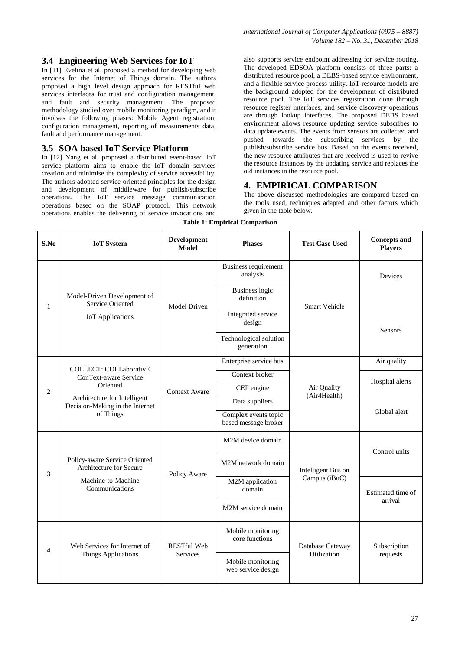#### **3.4 Engineering Web Services for IoT**

In [11] Evelina et al. proposed a method for developing web services for the Internet of Things domain. The authors proposed a high level design approach for RESTful web services interfaces for trust and configuration management, and fault and security management. The proposed methodology studied over mobile monitoring paradigm, and it involves the following phases: Mobile Agent registration, configuration management, reporting of measurements data, fault and performance management.

#### **3.5 SOA based IoT Service Platform**

In [12] Yang et al. proposed a distributed event-based IoT service platform aims to enable the IoT domain services creation and minimise the complexity of service accessibility. The authors adopted service-oriented principles for the design and development of middleware for publish/subscribe operations. The IoT service message communication operations based on the SOAP protocol. This network operations enables the delivering of service invocations and

also supports service endpoint addressing for service routing. The developed EDSOA platform consists of three parts: a distributed resource pool, a DEBS-based service environment, and a flexible service process utility. IoT resource models are the background adopted for the development of distributed resource pool. The IoT services registration done through resource register interfaces, and service discovery operations are through lookup interfaces. The proposed DEBS based environment allows resource updating service subscribes to data update events. The events from sensors are collected and pushed towards the subscribing services by the publish/subscribe service bus. Based on the events received, the new resource attributes that are received is used to revive the resource instances by the updating service and replaces the old instances in the resource pool.

# **4. EMPIRICAL COMPARISON**

The above discussed methodologies are compared based on the tools used, techniques adapted and other factors which given in the table below.

| S.No           | <b>IoT</b> System                                                                                                                                  | <b>Development</b><br><b>Model</b>    | <b>Phases</b>                                | <b>Test Case Used</b>                  | <b>Concepts and</b><br><b>Players</b> |
|----------------|----------------------------------------------------------------------------------------------------------------------------------------------------|---------------------------------------|----------------------------------------------|----------------------------------------|---------------------------------------|
| $\mathbf{1}$   | Model-Driven Development of<br>Service Oriented<br><b>IoT</b> Applications                                                                         | Model Driven                          | <b>Business requirement</b><br>analysis      | <b>Smart Vehicle</b>                   | Devices                               |
|                |                                                                                                                                                    |                                       | <b>Business logic</b><br>definition          |                                        |                                       |
|                |                                                                                                                                                    |                                       | Integrated service<br>design                 |                                        | <b>Sensors</b>                        |
|                |                                                                                                                                                    |                                       | Technological solution<br>generation         |                                        |                                       |
| $\overline{c}$ | <b>COLLECT: COLLaborativE</b><br>ConText-aware Service<br>Oriented<br>Architecture for Intelligent<br>Decision-Making in the Internet<br>of Things | <b>Context Aware</b>                  | Enterprise service bus                       | Air Quality<br>(Air4Health)            | Air quality                           |
|                |                                                                                                                                                    |                                       | Context broker                               |                                        | Hospital alerts                       |
|                |                                                                                                                                                    |                                       | CEP engine                                   |                                        |                                       |
|                |                                                                                                                                                    |                                       | Data suppliers                               |                                        | Global alert                          |
|                |                                                                                                                                                    |                                       | Complex events topic<br>based message broker |                                        |                                       |
| 3              | Policy-aware Service Oriented<br>Architecture for Secure<br>Machine-to-Machine<br>Communications                                                   | Policy Aware                          | M2M device domain                            | Intelligent Bus on<br>Campus (iBuC)    | Control units                         |
|                |                                                                                                                                                    |                                       | M2M network domain                           |                                        |                                       |
|                |                                                                                                                                                    |                                       | M2M application<br>domain                    |                                        | Estimated time of<br>arrival          |
|                |                                                                                                                                                    |                                       | M2M service domain                           |                                        |                                       |
| $\overline{4}$ | Web Services for Internet of<br><b>Things Applications</b>                                                                                         | <b>RESTful Web</b><br><b>Services</b> | Mobile monitoring<br>core functions          | Database Gateway<br><b>Utilization</b> | Subscription<br>requests              |
|                |                                                                                                                                                    |                                       | Mobile monitoring<br>web service design      |                                        |                                       |

**Table 1: Empirical Comparison**